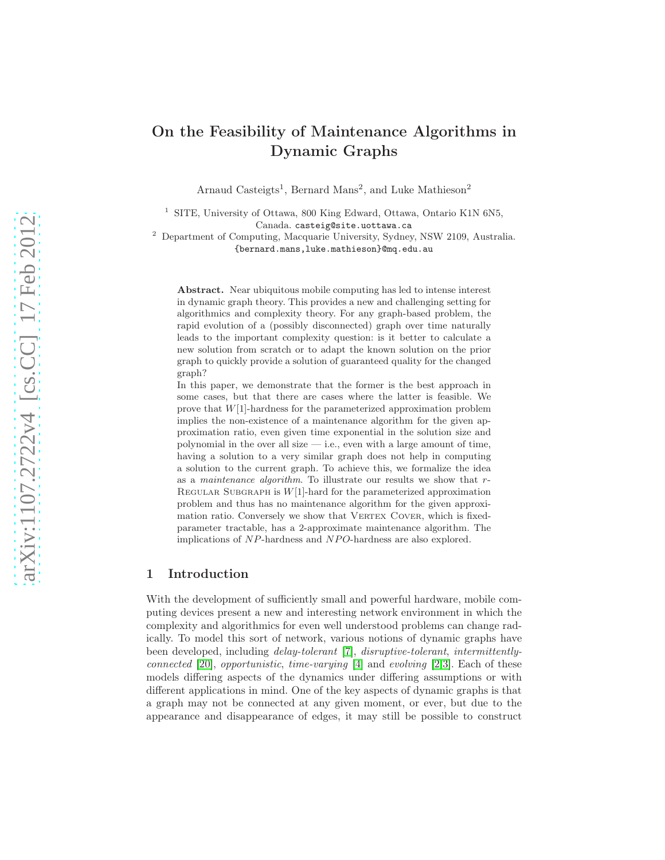# On the Feasibility of Maintenance Algorithms in Dynamic Graphs

Arnaud Casteigts<sup>1</sup>, Bernard Mans<sup>2</sup>, and Luke Mathieson<sup>2</sup>

<sup>1</sup> SITE, University of Ottawa, 800 King Edward, Ottawa, Ontario K1N 6N5, Canada. casteig@site.uottawa.ca

<sup>2</sup> Department of Computing, Macquarie University, Sydney, NSW 2109, Australia. {bernard.mans,luke.mathieson}@mq.edu.au

Abstract. Near ubiquitous mobile computing has led to intense interest in dynamic graph theory. This provides a new and challenging setting for algorithmics and complexity theory. For any graph-based problem, the rapid evolution of a (possibly disconnected) graph over time naturally leads to the important complexity question: is it better to calculate a new solution from scratch or to adapt the known solution on the prior graph to quickly provide a solution of guaranteed quality for the changed graph?

In this paper, we demonstrate that the former is the best approach in some cases, but that there are cases where the latter is feasible. We prove that W[1]-hardness for the parameterized approximation problem implies the non-existence of a maintenance algorithm for the given approximation ratio, even given time exponential in the solution size and polynomial in the over all size  $-$  i.e., even with a large amount of time. having a solution to a very similar graph does not help in computing a solution to the current graph. To achieve this, we formalize the idea as a *maintenance algorithm*. To illustrate our results we show that r-REGULAR SUBGRAPH is  $W[1]$ -hard for the parameterized approximation problem and thus has no maintenance algorithm for the given approximation ratio. Conversely we show that VERTEX COVER, which is fixedparameter tractable, has a 2-approximate maintenance algorithm. The implications of NP-hardness and NPO-hardness are also explored.

# 1 Introduction

With the development of sufficiently small and powerful hardware, mobile computing devices present a new and interesting network environment in which the complexity and algorithmics for even well understood problems can change radically. To model this sort of network, various notions of dynamic graphs have been developed, including *delay-tolerant* [\[7\]](#page-11-0), *disruptive-tolerant*, *intermittentlyconnected* [\[20\]](#page-11-1), *opportunistic*, *time-varying* [\[4\]](#page-11-2) and *evolving* [\[2,](#page-11-3)[3\]](#page-11-4). Each of these models differing aspects of the dynamics under differing assumptions or with different applications in mind. One of the key aspects of dynamic graphs is that a graph may not be connected at any given moment, or ever, but due to the appearance and disappearance of edges, it may still be possible to construct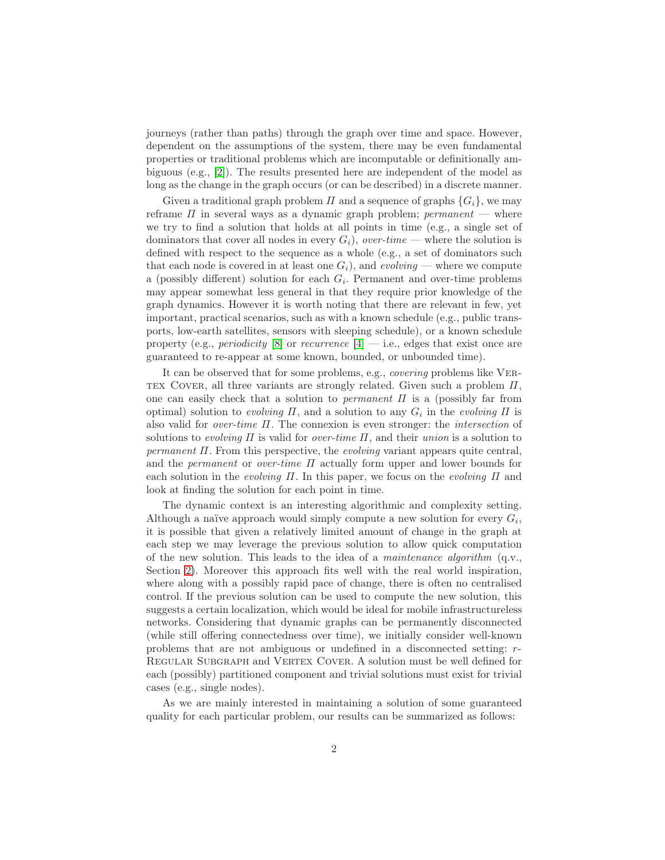journeys (rather than paths) through the graph over time and space. However, dependent on the assumptions of the system, there may be even fundamental properties or traditional problems which are incomputable or definitionally ambiguous (e.g., [\[2\]](#page-11-3)). The results presented here are independent of the model as long as the change in the graph occurs (or can be described) in a discrete manner.

Given a traditional graph problem  $\Pi$  and a sequence of graphs  $\{G_i\}$ , we may reframe  $\Pi$  in several ways as a dynamic graph problem; *permanent* — where we try to find a solution that holds at all points in time (e.g., a single set of dominators that cover all nodes in every  $G_i$ ), *over-time* — where the solution is defined with respect to the sequence as a whole (e.g., a set of dominators such that each node is covered in at least one  $G_i$ , and *evolving* — where we compute a (possibly different) solution for each  $G_i$ . Permanent and over-time problems may appear somewhat less general in that they require prior knowledge of the graph dynamics. However it is worth noting that there are relevant in few, yet important, practical scenarios, such as with a known schedule (e.g., public transports, low-earth satellites, sensors with sleeping schedule), or a known schedule property (e.g., *periodicity* [\[8\]](#page-11-5) or *recurrence* [\[4\]](#page-11-2) — i.e., edges that exist once are guaranteed to re-appear at some known, bounded, or unbounded time).

It can be observed that for some problems, e.g., *covering* problems like Ver-TEX COVER, all three variants are strongly related. Given such a problem  $\Pi$ , one can easily check that a solution to *permanent* Π is a (possibly far from optimal) solution to *evolving*  $\Pi$ , and a solution to any  $G_i$  in the *evolving*  $\Pi$  is also valid for *over-time* Π. The connexion is even stronger: the *intersection* of solutions to *evolving* Π is valid for *over-time* Π, and their *union* is a solution to *permanent*  $\Pi$ . From this perspective, the *evolving* variant appears quite central, and the *permanent* or *over-time* Π actually form upper and lower bounds for each solution in the *evolving* Π. In this paper, we focus on the *evolving* Π and look at finding the solution for each point in time.

The dynamic context is an interesting algorithmic and complexity setting. Although a naïve approach would simply compute a new solution for every  $G_i$ , it is possible that given a relatively limited amount of change in the graph at each step we may leverage the previous solution to allow quick computation of the new solution. This leads to the idea of a *maintenance algorithm* (q.v., Section [2\)](#page-3-0). Moreover this approach fits well with the real world inspiration, where along with a possibly rapid pace of change, there is often no centralised control. If the previous solution can be used to compute the new solution, this suggests a certain localization, which would be ideal for mobile infrastructureless networks. Considering that dynamic graphs can be permanently disconnected (while still offering connectedness over time), we initially consider well-known problems that are not ambiguous or undefined in a disconnected setting: r-REGULAR SUBGRAPH and VERTEX COVER. A solution must be well defined for each (possibly) partitioned component and trivial solutions must exist for trivial cases (e.g., single nodes).

As we are mainly interested in maintaining a solution of some guaranteed quality for each particular problem, our results can be summarized as follows: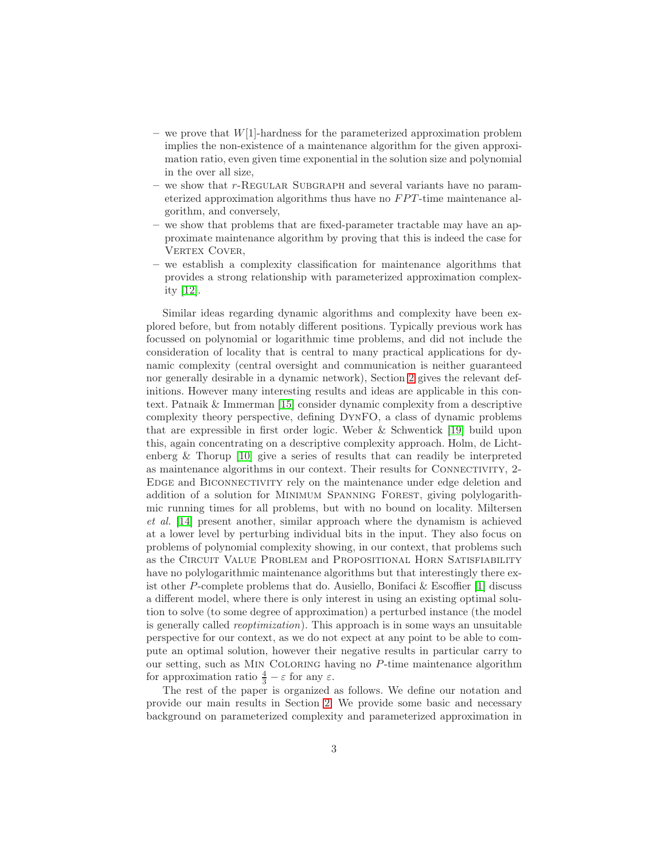- we prove that  $W[1]$ -hardness for the parameterized approximation problem implies the non-existence of a maintenance algorithm for the given approximation ratio, even given time exponential in the solution size and polynomial in the over all size,
- we show that r-REGULAR SUBGRAPH and several variants have no parameterized approximation algorithms thus have no  $FPT$ -time maintenance algorithm, and conversely,
- we show that problems that are fixed-parameter tractable may have an approximate maintenance algorithm by proving that this is indeed the case for VERTEX COVER,
- we establish a complexity classification for maintenance algorithms that provides a strong relationship with parameterized approximation complexity [\[12\]](#page-11-6).

Similar ideas regarding dynamic algorithms and complexity have been explored before, but from notably different positions. Typically previous work has focussed on polynomial or logarithmic time problems, and did not include the consideration of locality that is central to many practical applications for dynamic complexity (central oversight and communication is neither guaranteed nor generally desirable in a dynamic network), Section [2](#page-3-0) gives the relevant definitions. However many interesting results and ideas are applicable in this context. Patnaik & Immerman [\[15\]](#page-11-7) consider dynamic complexity from a descriptive complexity theory perspective, defining DynFO, a class of dynamic problems that are expressible in first order logic. Weber & Schwentick [\[19\]](#page-11-8) build upon this, again concentrating on a descriptive complexity approach. Holm, de Lichtenberg & Thorup [\[10\]](#page-11-9) give a series of results that can readily be interpreted as maintenance algorithms in our context. Their results for Connectivity, 2- Edge and Biconnectivity rely on the maintenance under edge deletion and addition of a solution for Minimum Spanning Forest, giving polylogarithmic running times for all problems, but with no bound on locality. Miltersen *et al.* [\[14\]](#page-11-10) present another, similar approach where the dynamism is achieved at a lower level by perturbing individual bits in the input. They also focus on problems of polynomial complexity showing, in our context, that problems such as the CIRCUIT VALUE PROBLEM and PROPOSITIONAL HORN SATISFIABILITY have no polylogarithmic maintenance algorithms but that interestingly there exist other P-complete problems that do. Ausiello, Bonifaci & Escoffier [\[1\]](#page-11-11) discuss a different model, where there is only interest in using an existing optimal solution to solve (to some degree of approximation) a perturbed instance (the model is generally called *reoptimization*). This approach is in some ways an unsuitable perspective for our context, as we do not expect at any point to be able to compute an optimal solution, however their negative results in particular carry to our setting, such as Min Coloring having no P-time maintenance algorithm for approximation ratio  $\frac{4}{3} - \varepsilon$  for any  $\varepsilon$ .

The rest of the paper is organized as follows. We define our notation and provide our main results in Section [2.](#page-3-0) We provide some basic and necessary background on parameterized complexity and parameterized approximation in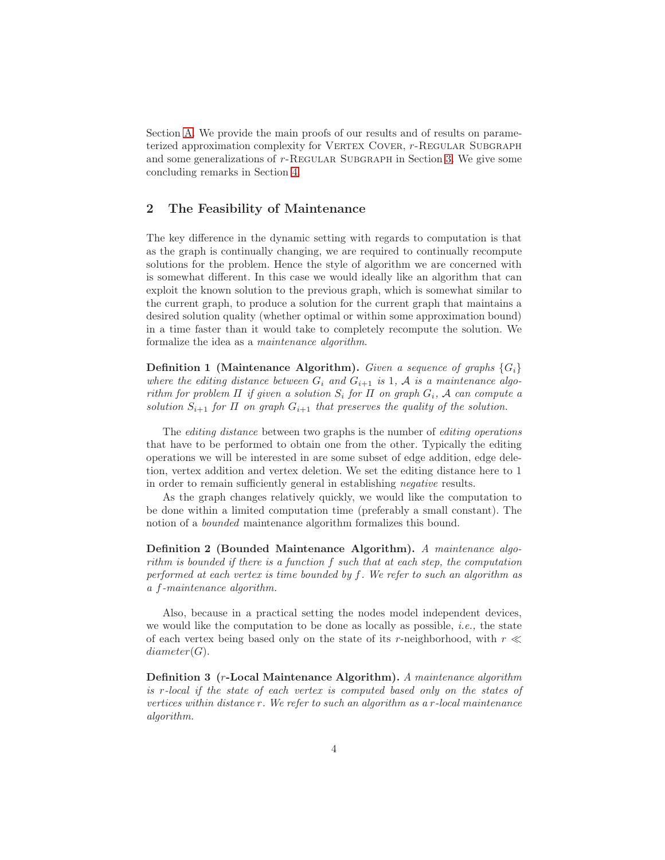Section [A.](#page-12-0) We provide the main proofs of our results and of results on parameterized approximation complexity for VERTEX COVER, r-REGULAR SUBGRAPH and some generalizations of  $r$ -REGULAR SUBGRAPH in Section [3.](#page-6-0) We give some concluding remarks in Section [4.](#page-10-0)

# <span id="page-3-0"></span>2 The Feasibility of Maintenance

The key difference in the dynamic setting with regards to computation is that as the graph is continually changing, we are required to continually recompute solutions for the problem. Hence the style of algorithm we are concerned with is somewhat different. In this case we would ideally like an algorithm that can exploit the known solution to the previous graph, which is somewhat similar to the current graph, to produce a solution for the current graph that maintains a desired solution quality (whether optimal or within some approximation bound) in a time faster than it would take to completely recompute the solution. We formalize the idea as a *maintenance algorithm*.

**Definition 1** (Maintenance Algorithm). *Given a sequence of graphs*  $\{G_i\}$ where the editing distance between  $G_i$  and  $G_{i+1}$  is 1, A is a maintenance algo*rithm for problem*  $\Pi$  *if given a solution*  $S_i$  *for*  $\Pi$  *on graph*  $G_i$ *,*  $A$  *can compute a solution*  $S_{i+1}$  *for*  $\Pi$  *on graph*  $G_{i+1}$  *that preserves the quality of the solution.* 

The *editing distance* between two graphs is the number of *editing operations* that have to be performed to obtain one from the other. Typically the editing operations we will be interested in are some subset of edge addition, edge deletion, vertex addition and vertex deletion. We set the editing distance here to 1 in order to remain sufficiently general in establishing *negative* results.

As the graph changes relatively quickly, we would like the computation to be done within a limited computation time (preferably a small constant). The notion of a *bounded* maintenance algorithm formalizes this bound.

Definition 2 (Bounded Maintenance Algorithm). *A maintenance algorithm is bounded if there is a function* f *such that at each step, the computation performed at each vertex is time bounded by* f*. We refer to such an algorithm as a* f*-maintenance algorithm.*

Also, because in a practical setting the nodes model independent devices, we would like the computation to be done as locally as possible, *i.e.,* the state of each vertex being based only on the state of its r-neighborhood, with  $r \ll$  $diameter(G).$ 

Definition 3 (r-Local Maintenance Algorithm). *A maintenance algorithm is* r*-local if the state of each vertex is computed based only on the states of vertices within distance* r*. We refer to such an algorithm as a* r*-local maintenance algorithm.*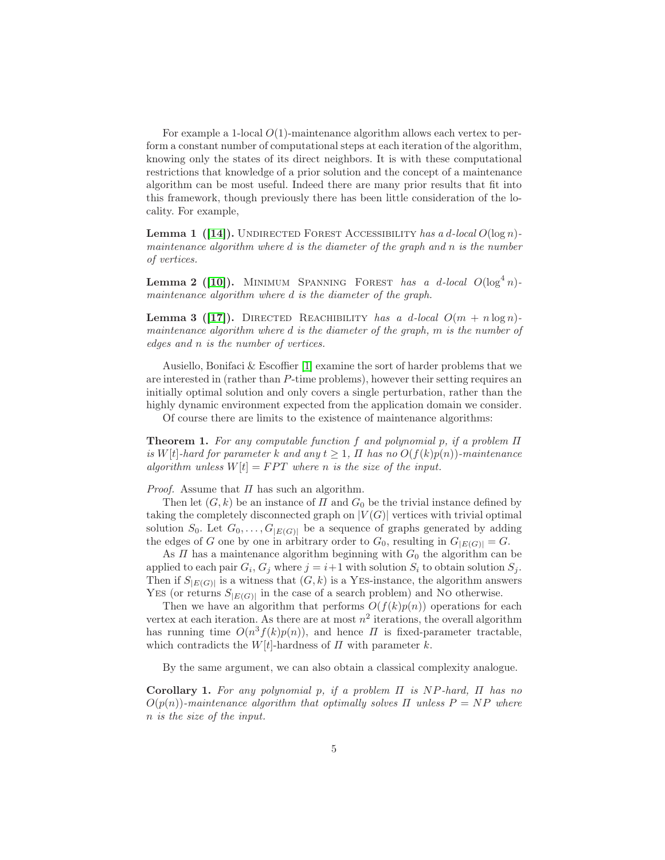For example a 1-local  $O(1)$ -maintenance algorithm allows each vertex to perform a constant number of computational steps at each iteration of the algorithm, knowing only the states of its direct neighbors. It is with these computational restrictions that knowledge of a prior solution and the concept of a maintenance algorithm can be most useful. Indeed there are many prior results that fit into this framework, though previously there has been little consideration of the locality. For example,

Lemma 1 ([\[14\]](#page-11-10)). Undirected Forest Accessibility *has a* d*-local* O(log n) *maintenance algorithm where* d *is the diameter of the graph and* n *is the number of vertices.*

Lemma 2 ([\[10\]](#page-11-9)). MINIMUM SPANNING FOREST *has a d-local*  $O(\log^4 n)$ *maintenance algorithm where* d *is the diameter of the graph.*

Lemma 3 ([\[17\]](#page-11-12)). DIRECTED REACHIBILITY *has a d-local*  $O(m + n \log n)$ *maintenance algorithm where* d *is the diameter of the graph,* m *is the number of edges and* n *is the number of vertices.*

Ausiello, Bonifaci & Escoffier  $[1]$  examine the sort of harder problems that we are interested in (rather than P-time problems), however their setting requires an initially optimal solution and only covers a single perturbation, rather than the highly dynamic environment expected from the application domain we consider.

Of course there are limits to the existence of maintenance algorithms:

Theorem 1. *For any computable function* f *and polynomial* p*, if a problem* Π *is* W[t]-hard for parameter k and any  $t \geq 1$ ,  $\Pi$  has no  $O(f(k)p(n))$ -maintenance *algorithm unless*  $W[t] = FPT$  *where n is the size of the input.* 

*Proof.* Assume that  $\Pi$  has such an algorithm.

Then let  $(G, k)$  be an instance of  $\Pi$  and  $G_0$  be the trivial instance defined by taking the completely disconnected graph on  $|V(G)|$  vertices with trivial optimal solution  $S_0$ . Let  $G_0, \ldots, G_{|E(G)|}$  be a sequence of graphs generated by adding the edges of G one by one in arbitrary order to  $G_0$ , resulting in  $G_{|E(G)|} = G$ .

As  $\Pi$  has a maintenance algorithm beginning with  $G_0$  the algorithm can be applied to each pair  $G_i$ ,  $G_j$  where  $j = i+1$  with solution  $S_i$  to obtain solution  $S_j$ . Then if  $S_{|E(G)|}$  is a witness that  $(G, k)$  is a YES-instance, the algorithm answers YES (or returns  $S_{|E(G)|}$  in the case of a search problem) and NO otherwise.

Then we have an algorithm that performs  $O(f(k)p(n))$  operations for each vertex at each iteration. As there are at most  $n^2$  iterations, the overall algorithm has running time  $O(n^3 f(k)p(n))$ , and hence  $\Pi$  is fixed-parameter tractable, which contradicts the  $W[t]$ -hardness of  $\Pi$  with parameter  $k$ .

By the same argument, we can also obtain a classical complexity analogue.

Corollary 1. *For any polynomial* p*, if a problem* Π *is* NP*-hard,* Π *has no*  $O(p(n))$ -maintenance algorithm that optimally solves  $\Pi$  unless  $P = NP$  where n *is the size of the input.*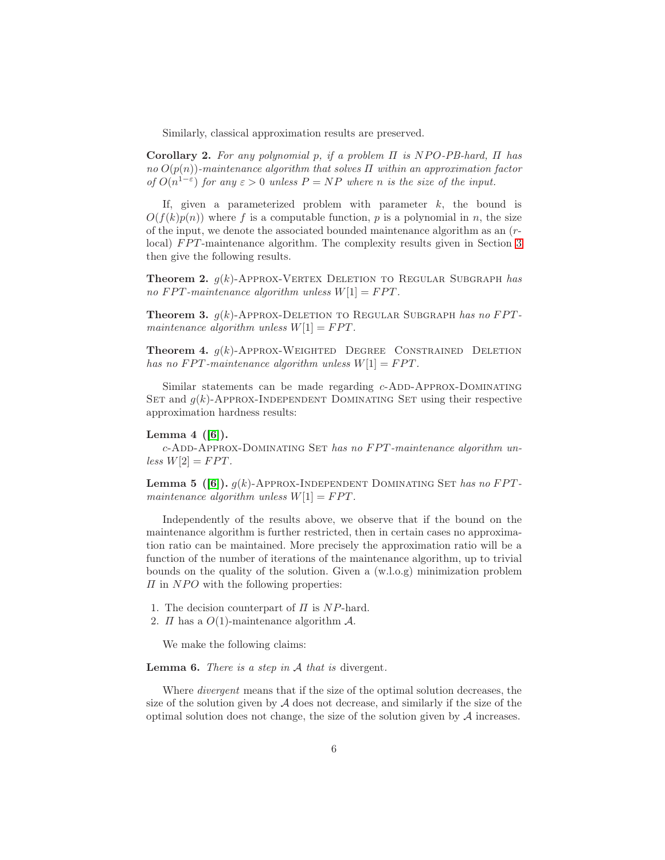Similarly, classical approximation results are preserved.

Corollary 2. *For any polynomial* p*, if a problem* Π *is* NP O*-PB-hard,* Π *has no* O(p(n))*-maintenance algorithm that solves* Π *within an approximation factor of*  $O(n^{1-\epsilon})$  *for any*  $\epsilon > 0$  *unless*  $P = NP$  *where n is the size of the input.* 

If, given a parameterized problem with parameter  $k$ , the bound is  $O(f(k)p(n))$  where f is a computable function, p is a polynomial in n, the size of the input, we denote the associated bounded maintenance algorithm as an (r-local) FPT-maintenance algorithm. The complexity results given in Section [3](#page-6-0) then give the following results.

Theorem 2. g(k)-Approx-Vertex Deletion to Regular Subgraph *has no*  $FPT$ -maintenance algorithm unless  $W[1] = FPT$ .

**Theorem 3.**  $q(k)$ -Approx-Deletion to Regular Subgraph *has no FPTmaintenance algorithm unless*  $W[1] = FPT$ .

**Theorem 4.**  $g(k)$ -Approx-Weighted Degree Constrained Deletion *has no*  $FPT$ *-maintenance algorithm unless*  $W[1] = FPT$ *.* 

Similar statements can be made regarding  $c$ -ADD-APPROX-DOMINATING SET and  $g(k)$ -APPROX-INDEPENDENT DOMINATING SET using their respective approximation hardness results:

#### Lemma  $4$  ([\[6\]](#page-11-13)).

c-Add-Approx-Dominating Set *has no* F P T*-maintenance algorithm un-* $\text{less } W[2] = FPT.$ 

**Lemma 5** ([\[6\]](#page-11-13)).  $g(k)$ -APPROX-INDEPENDENT DOMINATING SET has no FPT*maintenance algorithm unless*  $W[1] = FPT$ .

Independently of the results above, we observe that if the bound on the maintenance algorithm is further restricted, then in certain cases no approximation ratio can be maintained. More precisely the approximation ratio will be a function of the number of iterations of the maintenance algorithm, up to trivial bounds on the quality of the solution. Given a (w.l.o.g) minimization problem  $\Pi$  in NPO with the following properties:

- 1. The decision counterpart of  $\Pi$  is NP-hard.
- 2.  $\Pi$  has a  $O(1)$ -maintenance algorithm  $\mathcal{A}$ .

We make the following claims:

Lemma 6. *There is a step in* A *that is* divergent*.*

Where *divergent* means that if the size of the optimal solution decreases, the size of the solution given by  $A$  does not decrease, and similarly if the size of the optimal solution does not change, the size of the solution given by  $A$  increases.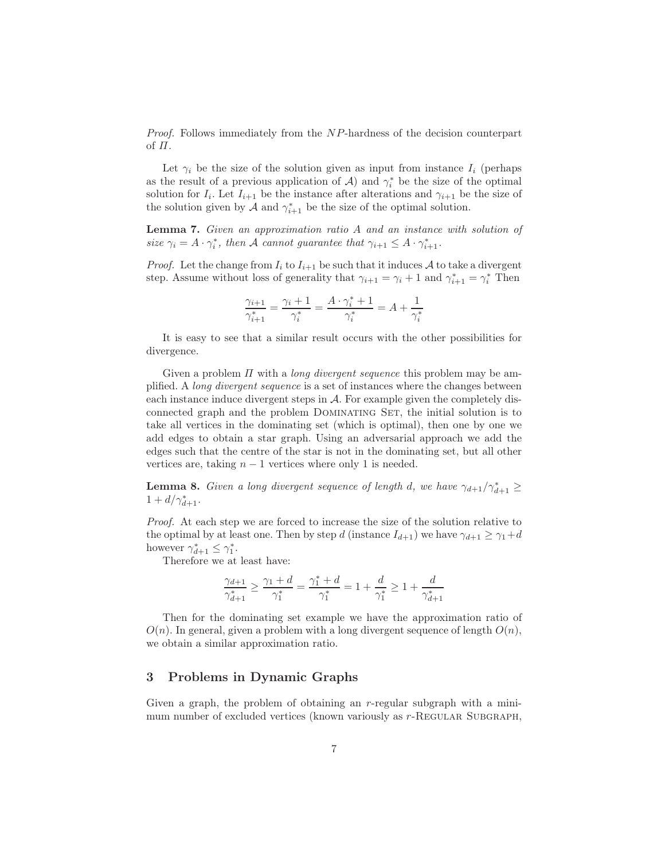*Proof.* Follows immediately from the NP-hardness of the decision counterpart of  $\Pi$ .

Let  $\gamma_i$  be the size of the solution given as input from instance  $I_i$  (perhaps as the result of a previous application of  $A$ ) and  $\gamma_i^*$  be the size of the optimal solution for  $I_i$ . Let  $I_{i+1}$  be the instance after alterations and  $\gamma_{i+1}$  be the size of the solution given by  $A$  and  $\gamma_{i+1}^*$  be the size of the optimal solution.

Lemma 7. *Given an approximation ratio* A *and an instance with solution of* size  $\gamma_i = A \cdot \gamma_i^*$ , then A cannot guarantee that  $\gamma_{i+1} \leq A \cdot \gamma_{i+1}^*$ .

*Proof.* Let the change from  $I_i$  to  $I_{i+1}$  be such that it induces A to take a divergent step. Assume without loss of generality that  $\gamma_{i+1} = \gamma_i + 1$  and  $\gamma_{i+1}^* = \gamma_i^*$  Then

$$
\frac{\gamma_{i+1}}{\gamma_{i+1}^*} = \frac{\gamma_i + 1}{\gamma_i^*} = \frac{A \cdot \gamma_i^* + 1}{\gamma_i^*} = A + \frac{1}{\gamma_i^*}
$$

It is easy to see that a similar result occurs with the other possibilities for divergence.

Given a problem Π with a *long divergent sequence* this problem may be amplified. A *long divergent sequence* is a set of instances where the changes between each instance induce divergent steps in A. For example given the completely disconnected graph and the problem Dominating Set, the initial solution is to take all vertices in the dominating set (which is optimal), then one by one we add edges to obtain a star graph. Using an adversarial approach we add the edges such that the centre of the star is not in the dominating set, but all other vertices are, taking  $n - 1$  vertices where only 1 is needed.

**Lemma 8.** *Given a long divergent sequence of length d, we have*  $\gamma_{d+1}/\gamma_{d+1}^* \geq$  $1 + d/\gamma_{d+1}^*$ .

*Proof.* At each step we are forced to increase the size of the solution relative to the optimal by at least one. Then by step d (instance  $I_{d+1}$ ) we have  $\gamma_{d+1} \geq \gamma_1 + d$ however  $\gamma_{d+1}^* \leq \gamma_1^*$ .

Therefore we at least have:

$$
\frac{\gamma_{d+1}}{\gamma_{d+1}^*} \geq \frac{\gamma_1 + d}{\gamma_1^*} = \frac{\gamma_1^* + d}{\gamma_1^*} = 1 + \frac{d}{\gamma_1^*} \geq 1 + \frac{d}{\gamma_{d+1}^*}
$$

Then for the dominating set example we have the approximation ratio of  $O(n)$ . In general, given a problem with a long divergent sequence of length  $O(n)$ , we obtain a similar approximation ratio.

# <span id="page-6-0"></span>3 Problems in Dynamic Graphs

Given a graph, the problem of obtaining an r-regular subgraph with a minimum number of excluded vertices (known variously as r-REGULAR SUBGRAPH,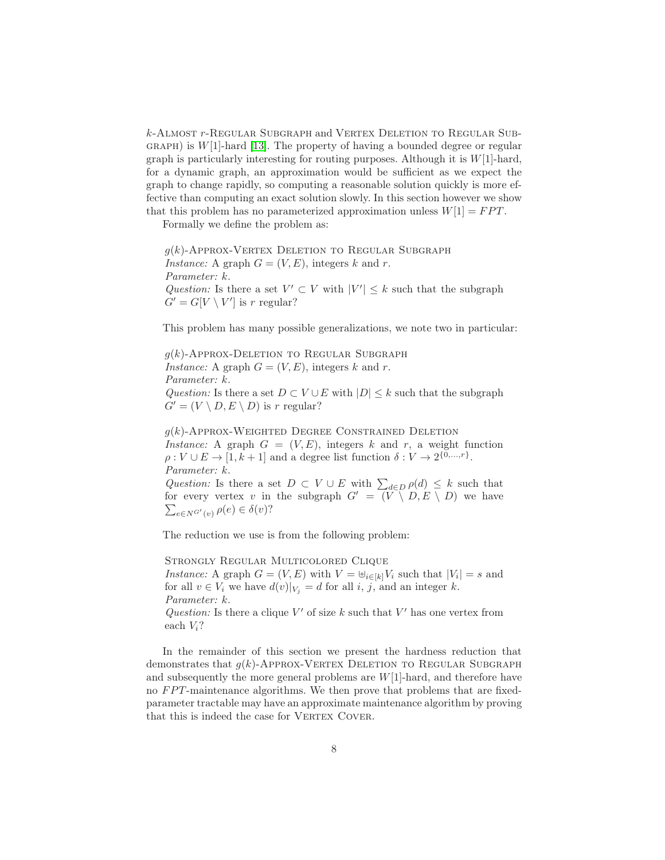k-Almost r-Regular Subgraph and Vertex Deletion to Regular Sub- $GRAPH$ ) is  $W[1]$ -hard [\[13\]](#page-11-14). The property of having a bounded degree or regular graph is particularly interesting for routing purposes. Although it is  $W[1]$ -hard, for a dynamic graph, an approximation would be sufficient as we expect the graph to change rapidly, so computing a reasonable solution quickly is more effective than computing an exact solution slowly. In this section however we show that this problem has no parameterized approximation unless  $W[1] = FPT$ .

Formally we define the problem as:

 $g(k)$ -Approx-Vertex Deletion to Regular Subgraph *Instance:* A graph  $G = (V, E)$ , integers k and r. *Parameter:* k. *Question:* Is there a set  $V' \subset V$  with  $|V'| \leq k$  such that the subgraph  $G' = G[V \setminus V']$  is r regular?

This problem has many possible generalizations, we note two in particular:

 $q(k)$ -Approx-Deletion to Regular Subgraph *Instance:* A graph  $G = (V, E)$ , integers k and r. *Parameter:* k. *Question:* Is there a set  $D \subset V \cup E$  with  $|D| \leq k$  such that the subgraph  $G' = (V \setminus D, E \setminus D)$  is r regular?

 $q(k)$ -Approx-Weighted Degree Constrained Deletion *Instance:* A graph  $G = (V, E)$ , integers k and r, a weight function  $\rho: V \cup E \to [1, k+1]$  and a degree list function  $\delta: V \to 2^{\{0, \ldots, r\}}$ . *Parameter:* k.

*Question:* Is there a set  $D \subset V \cup E$  with  $\sum_{d \in D} \rho(d) \leq k$  such that  $\sum_{e \in N^{G'}(v)} \rho(e) \in \delta(v)$ ? for every vertex v in the subgraph  $G' = (\overline{V} \setminus D, E \setminus D)$  we have

The reduction we use is from the following problem:

Strongly Regular Multicolored Clique *Instance:* A graph  $G = (V, E)$  with  $V = \bigcup_{i \in [k]} V_i$  such that  $|V_i| = s$  and for all  $v \in V_i$  we have  $d(v)|_{V_i} = d$  for all i, j, and an integer k. *Parameter:* k. *Question:* Is there a clique  $V'$  of size k such that  $V'$  has one vertex from

each  $V_i$ ?

In the remainder of this section we present the hardness reduction that demonstrates that  $q(k)$ -Approx-Vertex Deletion to Regular Subgraph and subsequently the more general problems are  $W[1]$ -hard, and therefore have no  $FPT$ -maintenance algorithms. We then prove that problems that are fixedparameter tractable may have an approximate maintenance algorithm by proving that this is indeed the case for VERTEX COVER.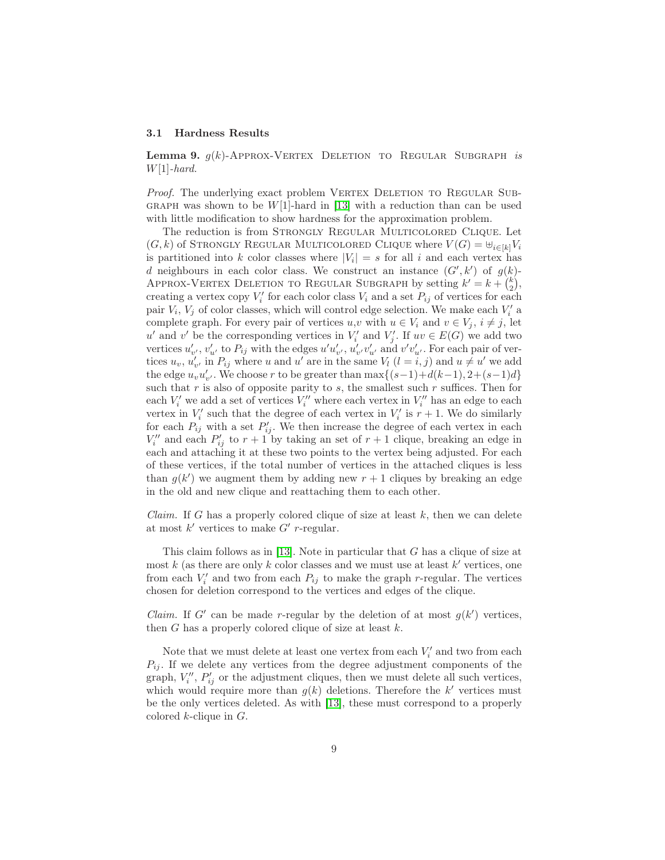#### 3.1 Hardness Results

Lemma 9. g(k)-Approx-Vertex Deletion to Regular Subgraph *is* W[1]*-hard.*

*Proof.* The underlying exact problem VERTEX DELETION TO REGULAR SUB-GRAPH was shown to be  $W[1]$ -hard in [\[13\]](#page-11-14) with a reduction than can be used with little modification to show hardness for the approximation problem.

The reduction is from Strongly Regular Multicolored Clique. Let  $(G, k)$  of STRONGLY REGULAR MULTICOLORED CLIQUE where  $V(G) = \bigcup_{i \in [k]} V_i$ is partitioned into k color classes where  $|V_i| = s$  for all i and each vertex has d neighbours in each color class. We construct an instance  $(G', k')$  of  $g(k)$ -APPROX-VERTEX DELETION TO REGULAR SUBGRAPH by setting  $k' = k + \binom{k}{2}$  $\binom{k}{2}$ creating a vertex copy  $V_i'$  for each color class  $V_i$  and a set  $P_{ij}$  of vertices for each pair  $V_i$ ,  $V_j$  of color classes, which will control edge selection. We make each  $V'_i$  a complete graph. For every pair of vertices  $u, v$  with  $u \in V_i$  and  $v \in V_j$ ,  $i \neq j$ , let u' and v' be the corresponding vertices in  $V_i'$  and  $V_j'$ . If  $uv \in E(G)$  we add two vertices  $u'_{v'}$ ,  $v'_{u'}$  to  $P_{ij}$  with the edges  $u'u'_{v'}$ ,  $u'_{v'}v'_{u'}$  and  $v'v'_{u'}$ . For each pair of vertices  $u_v, u'_{v'}$  in  $P_{ij}$  where u and u' are in the same  $V_l$   $(l = i, j)$  and  $u \neq u'$  we add the edge  $u_v u'_{v'}$ . We choose r to be greater than  $\max\{(s-1)+d(k-1), 2+(s-1)d\}$ such that  $r$  is also of opposite parity to  $s$ , the smallest such  $r$  suffices. Then for each  $V_i'$  we add a set of vertices  $V_i''$  where each vertex in  $V_i''$  has an edge to each vertex in  $V_i'$  such that the degree of each vertex in  $V_i'$  is  $r + 1$ . We do similarly for each  $P_{ij}$  with a set  $P'_{ij}$ . We then increase the degree of each vertex in each  $V''_i$  and each  $P'_{ij}$  to  $r+1$  by taking an set of  $r+1$  clique, breaking an edge in each and attaching it at these two points to the vertex being adjusted. For each of these vertices, if the total number of vertices in the attached cliques is less than  $g(k')$  we augment them by adding new  $r + 1$  cliques by breaking an edge in the old and new clique and reattaching them to each other.

*Claim.* If G has a properly colored clique of size at least  $k$ , then we can delete at most  $k'$  vertices to make  $G'$  r-regular.

This claim follows as in [\[13\]](#page-11-14). Note in particular that G has a clique of size at most  $k$  (as there are only  $k$  color classes and we must use at least  $k'$  vertices, one from each  $V_i'$  and two from each  $P_{ij}$  to make the graph r-regular. The vertices chosen for deletion correspond to the vertices and edges of the clique.

*Claim.* If G' can be made r-regular by the deletion of at most  $g(k')$  vertices, then  $G$  has a properly colored clique of size at least  $k$ .

Note that we must delete at least one vertex from each  $V_i'$  and two from each  $P_{ij}$ . If we delete any vertices from the degree adjustment components of the graph,  $V_i''$ ,  $P'_{ij}$  or the adjustment cliques, then we must delete all such vertices, which would require more than  $g(k)$  deletions. Therefore the k' vertices must be the only vertices deleted. As with [\[13\]](#page-11-14), these must correspond to a properly colored  $k$ -clique in  $G$ .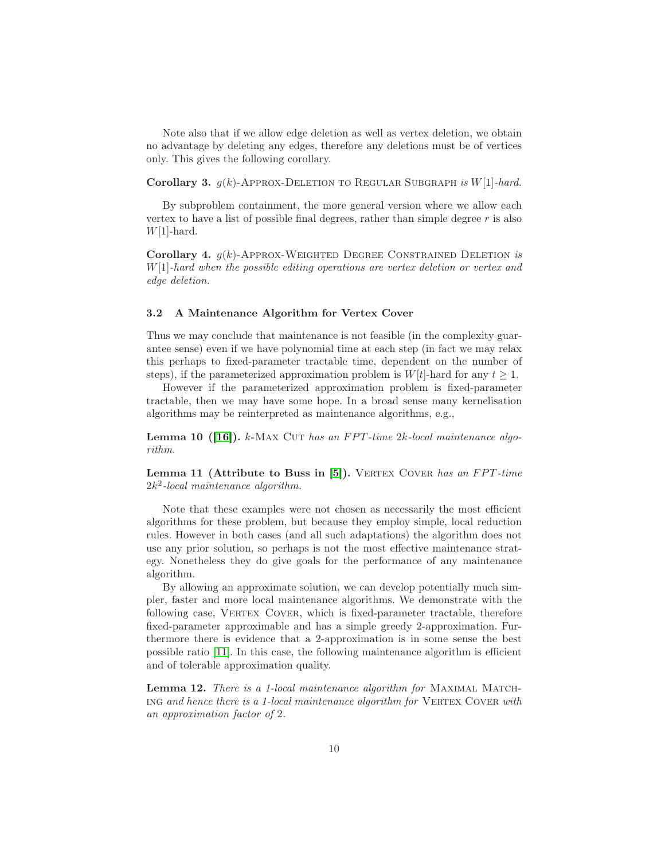Note also that if we allow edge deletion as well as vertex deletion, we obtain no advantage by deleting any edges, therefore any deletions must be of vertices only. This gives the following corollary.

Corollary 3. g(k)-Approx-Deletion to Regular Subgraph *is* W[1]*-hard.*

By subproblem containment, the more general version where we allow each vertex to have a list of possible final degrees, rather than simple degree  $r$  is also  $W[1]$ -hard.

Corollary 4. g(k)-Approx-Weighted Degree Constrained Deletion *is* W[1]*-hard when the possible editing operations are vertex deletion or vertex and edge deletion.*

## 3.2 A Maintenance Algorithm for Vertex Cover

Thus we may conclude that maintenance is not feasible (in the complexity guarantee sense) even if we have polynomial time at each step (in fact we may relax this perhaps to fixed-parameter tractable time, dependent on the number of steps), if the parameterized approximation problem is  $W[t]$ -hard for any  $t \geq 1$ .

However if the parameterized approximation problem is fixed-parameter tractable, then we may have some hope. In a broad sense many kernelisation algorithms may be reinterpreted as maintenance algorithms, e.g.,

**Lemma 10 ([\[16\]](#page-11-15)).** k-MAX CUT has an FPT-time 2k-local maintenance algo*rithm.*

Lemma 11 (Attribute to Buss in [\[5\]](#page-11-16)). VERTEX COVER has an FPT-time 2k 2 *-local maintenance algorithm.*

Note that these examples were not chosen as necessarily the most efficient algorithms for these problem, but because they employ simple, local reduction rules. However in both cases (and all such adaptations) the algorithm does not use any prior solution, so perhaps is not the most effective maintenance strategy. Nonetheless they do give goals for the performance of any maintenance algorithm.

By allowing an approximate solution, we can develop potentially much simpler, faster and more local maintenance algorithms. We demonstrate with the following case, VERTEX COVER, which is fixed-parameter tractable, therefore fixed-parameter approximable and has a simple greedy 2-approximation. Furthermore there is evidence that a 2-approximation is in some sense the best possible ratio [\[11\]](#page-11-17). In this case, the following maintenance algorithm is efficient and of tolerable approximation quality.

Lemma 12. *There is a 1-local maintenance algorithm for* Maximal Match-ING and hence there is a 1-local maintenance algorithm for VERTEX COVER with *an approximation factor of* 2*.*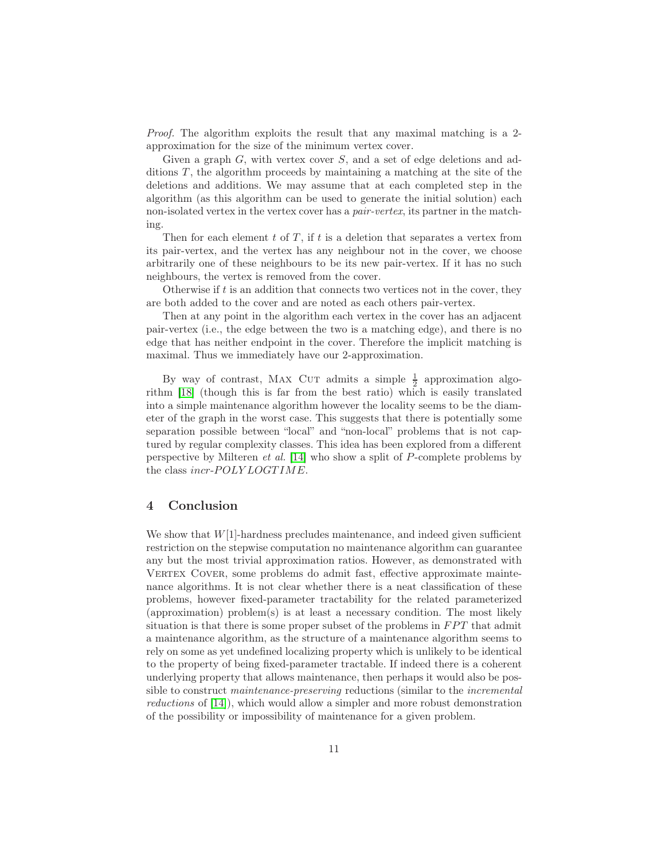*Proof.* The algorithm exploits the result that any maximal matching is a 2 approximation for the size of the minimum vertex cover.

Given a graph  $G$ , with vertex cover  $S$ , and a set of edge deletions and additions  $T$ , the algorithm proceeds by maintaining a matching at the site of the deletions and additions. We may assume that at each completed step in the algorithm (as this algorithm can be used to generate the initial solution) each non-isolated vertex in the vertex cover has a *pair-vertex*, its partner in the matching.

Then for each element  $t$  of  $T$ , if  $t$  is a deletion that separates a vertex from its pair-vertex, and the vertex has any neighbour not in the cover, we choose arbitrarily one of these neighbours to be its new pair-vertex. If it has no such neighbours, the vertex is removed from the cover.

Otherwise if t is an addition that connects two vertices not in the cover, they are both added to the cover and are noted as each others pair-vertex.

Then at any point in the algorithm each vertex in the cover has an adjacent pair-vertex (i.e., the edge between the two is a matching edge), and there is no edge that has neither endpoint in the cover. Therefore the implicit matching is maximal. Thus we immediately have our 2-approximation.

By way of contrast, MAX CUT admits a simple  $\frac{1}{2}$  approximation algorithm [\[18\]](#page-11-18) (though this is far from the best ratio) which is easily translated into a simple maintenance algorithm however the locality seems to be the diameter of the graph in the worst case. This suggests that there is potentially some separation possible between "local" and "non-local" problems that is not captured by regular complexity classes. This idea has been explored from a different perspective by Milteren *et al.* [\[14\]](#page-11-10) who show a split of P-complete problems by the class incr-POLY LOGTIME.

## <span id="page-10-0"></span>4 Conclusion

We show that  $W[1]$ -hardness precludes maintenance, and indeed given sufficient restriction on the stepwise computation no maintenance algorithm can guarantee any but the most trivial approximation ratios. However, as demonstrated with VERTEX COVER, some problems do admit fast, effective approximate maintenance algorithms. It is not clear whether there is a neat classification of these problems, however fixed-parameter tractability for the related parameterized (approximation) problem(s) is at least a necessary condition. The most likely situation is that there is some proper subset of the problems in  $FPT$  that admit a maintenance algorithm, as the structure of a maintenance algorithm seems to rely on some as yet undefined localizing property which is unlikely to be identical to the property of being fixed-parameter tractable. If indeed there is a coherent underlying property that allows maintenance, then perhaps it would also be possible to construct *maintenance-preserving* reductions (similar to the *incremental reductions* of [\[14\]](#page-11-10)), which would allow a simpler and more robust demonstration of the possibility or impossibility of maintenance for a given problem.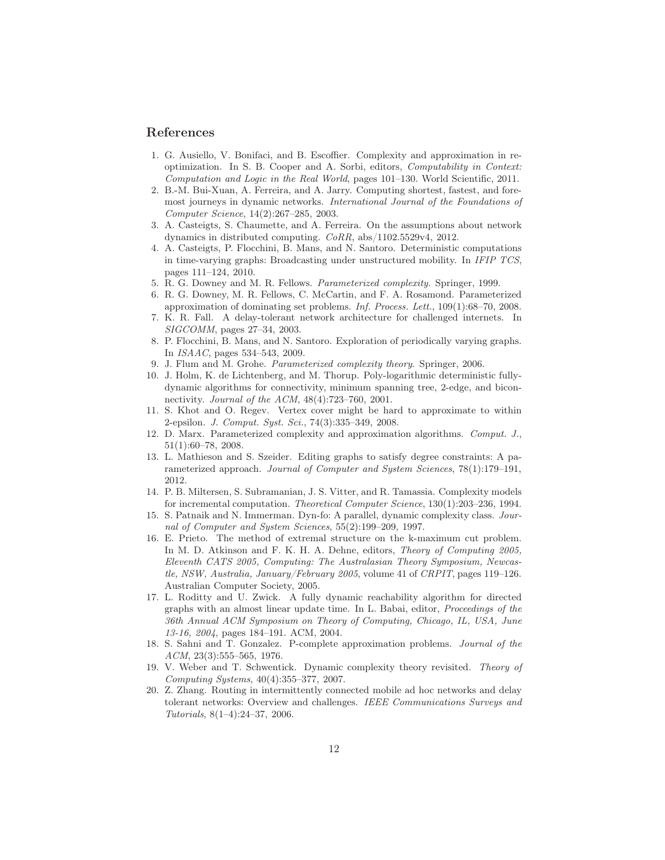# <span id="page-11-11"></span>References

- 1. G. Ausiello, V. Bonifaci, and B. Escoffier. Complexity and approximation in reoptimization. In S. B. Cooper and A. Sorbi, editors, *Computability in Context: Computation and Logic in the Real World*, pages 101–130. World Scientific, 2011.
- <span id="page-11-3"></span>2. B.-M. Bui-Xuan, A. Ferreira, and A. Jarry. Computing shortest, fastest, and foremost journeys in dynamic networks. *International Journal of the Foundations of Computer Science*, 14(2):267–285, 2003.
- <span id="page-11-4"></span>3. A. Casteigts, S. Chaumette, and A. Ferreira. On the assumptions about network dynamics in distributed computing. *CoRR*, abs/1102.5529v4, 2012.
- <span id="page-11-2"></span>4. A. Casteigts, P. Flocchini, B. Mans, and N. Santoro. Deterministic computations in time-varying graphs: Broadcasting under unstructured mobility. In *IFIP TCS*, pages 111–124, 2010.
- <span id="page-11-16"></span><span id="page-11-13"></span>5. R. G. Downey and M. R. Fellows. *Parameterized complexity*. Springer, 1999.
- 6. R. G. Downey, M. R. Fellows, C. McCartin, and F. A. Rosamond. Parameterized approximation of dominating set problems. *Inf. Process. Lett.*, 109(1):68–70, 2008.
- <span id="page-11-0"></span>7. K. R. Fall. A delay-tolerant network architecture for challenged internets. In *SIGCOMM*, pages 27–34, 2003.
- <span id="page-11-5"></span>8. P. Flocchini, B. Mans, and N. Santoro. Exploration of periodically varying graphs. In *ISAAC*, pages 534–543, 2009.
- <span id="page-11-19"></span><span id="page-11-9"></span>9. J. Flum and M. Grohe. *Parameterized complexity theory*. Springer, 2006.
- 10. J. Holm, K. de Lichtenberg, and M. Thorup. Poly-logarithmic deterministic fullydynamic algorithms for connectivity, minimum spanning tree, 2-edge, and biconnectivity. *Journal of the ACM*, 48(4):723–760, 2001.
- <span id="page-11-17"></span>11. S. Khot and O. Regev. Vertex cover might be hard to approximate to within 2-epsilon. *J. Comput. Syst. Sci.*, 74(3):335–349, 2008.
- <span id="page-11-6"></span>12. D. Marx. Parameterized complexity and approximation algorithms. *Comput. J.*, 51(1):60–78, 2008.
- <span id="page-11-14"></span>13. L. Mathieson and S. Szeider. Editing graphs to satisfy degree constraints: A parameterized approach. *Journal of Computer and System Sciences*, 78(1):179–191, 2012.
- <span id="page-11-10"></span>14. P. B. Miltersen, S. Subramanian, J. S. Vitter, and R. Tamassia. Complexity models for incremental computation. *Theoretical Computer Science*, 130(1):203–236, 1994.
- <span id="page-11-7"></span>15. S. Patnaik and N. Immerman. Dyn-fo: A parallel, dynamic complexity class. *Journal of Computer and System Sciences*, 55(2):199–209, 1997.
- <span id="page-11-15"></span>16. E. Prieto. The method of extremal structure on the k-maximum cut problem. In M. D. Atkinson and F. K. H. A. Dehne, editors, *Theory of Computing 2005, Eleventh CATS 2005, Computing: The Australasian Theory Symposium, Newcastle, NSW, Australia, January/February 2005*, volume 41 of *CRPIT*, pages 119–126. Australian Computer Society, 2005.
- <span id="page-11-12"></span>17. L. Roditty and U. Zwick. A fully dynamic reachability algorithm for directed graphs with an almost linear update time. In L. Babai, editor, *Proceedings of the 36th Annual ACM Symposium on Theory of Computing, Chicago, IL, USA, June 13-16, 2004*, pages 184–191. ACM, 2004.
- <span id="page-11-18"></span>18. S. Sahni and T. Gonzalez. P-complete approximation problems. *Journal of the ACM*, 23(3):555–565, 1976.
- <span id="page-11-8"></span>19. V. Weber and T. Schwentick. Dynamic complexity theory revisited. *Theory of Computing Systems*, 40(4):355–377, 2007.
- <span id="page-11-1"></span>20. Z. Zhang. Routing in intermittently connected mobile ad hoc networks and delay tolerant networks: Overview and challenges. *IEEE Communications Surveys and Tutorials*, 8(1–4):24–37, 2006.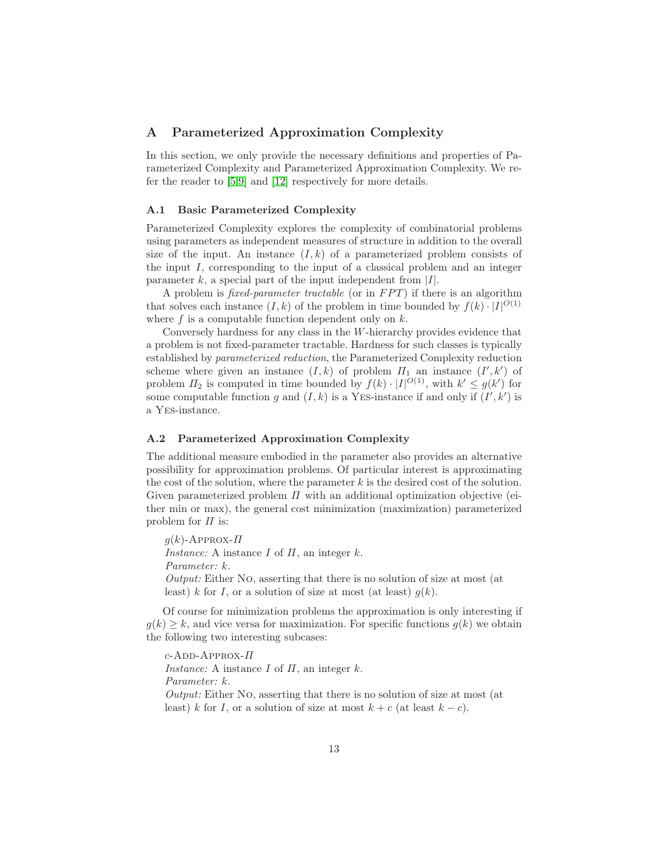# <span id="page-12-0"></span>A Parameterized Approximation Complexity

In this section, we only provide the necessary definitions and properties of Parameterized Complexity and Parameterized Approximation Complexity. We refer the reader to [\[5,](#page-11-16)[9\]](#page-11-19) and [\[12\]](#page-11-6) respectively for more details.

## A.1 Basic Parameterized Complexity

Parameterized Complexity explores the complexity of combinatorial problems using parameters as independent measures of structure in addition to the overall size of the input. An instance  $(I, k)$  of a parameterized problem consists of the input  $I$ , corresponding to the input of a classical problem and an integer parameter k, a special part of the input independent from  $|I|$ .

A problem is *fixed-parameter tractable* (or in *FPT*) if there is an algorithm that solves each instance  $(I, k)$  of the problem in time bounded by  $f(k) \cdot |I|^{O(1)}$ where  $f$  is a computable function dependent only on  $k$ .

Conversely hardness for any class in the W-hierarchy provides evidence that a problem is not fixed-parameter tractable. Hardness for such classes is typically established by *parameterized reduction*, the Parameterized Complexity reduction scheme where given an instance  $(I, k)$  of problem  $\Pi_1$  an instance  $(I', k')$  of problem  $\Pi_2$  is computed in time bounded by  $f(k) \cdot |I|^{O(1)}$ , with  $k' \leq g(k')$  for some computable function g and  $(I, k)$  is a YES-instance if and only if  $(I', k')$  is a Yes-instance.

#### A.2 Parameterized Approximation Complexity

The additional measure embodied in the parameter also provides an alternative possibility for approximation problems. Of particular interest is approximating the cost of the solution, where the parameter  $k$  is the desired cost of the solution. Given parameterized problem  $\Pi$  with an additional optimization objective (either min or max), the general cost minimization (maximization) parameterized problem for  $\Pi$  is:

 $g(k)$ -Approx- $\Pi$ *Instance:* A instance I of  $\Pi$ , an integer k. *Parameter:* k. *Output:* Either No, asserting that there is no solution of size at most (at least) k for I, or a solution of size at most (at least)  $g(k)$ .

Of course for minimization problems the approximation is only interesting if  $g(k) \geq k$ , and vice versa for maximization. For specific functions  $g(k)$  we obtain the following two interesting subcases:

 $c$ -ADD-APPROX- $\Pi$ *Instance:* A instance  $I$  of  $\Pi$ , an integer  $k$ . *Parameter:* k. *Output:* Either No, asserting that there is no solution of size at most (at least) k for I, or a solution of size at most  $k + c$  (at least  $k - c$ ).